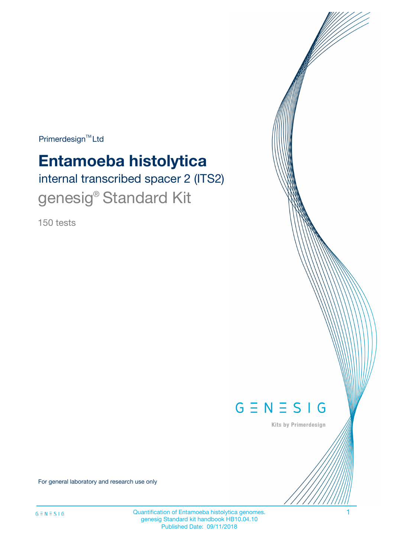$Primerdesign^{\text{TM}}Ltd$ 

# **Entamoeba histolytica**

internal transcribed spacer 2 (ITS2) genesig<sup>®</sup> Standard Kit

150 tests



Kits by Primerdesign

For general laboratory and research use only

Quantification of Entamoeba histolytica genomes. 1 genesig Standard kit handbook HB10.04.10 Published Date: 09/11/2018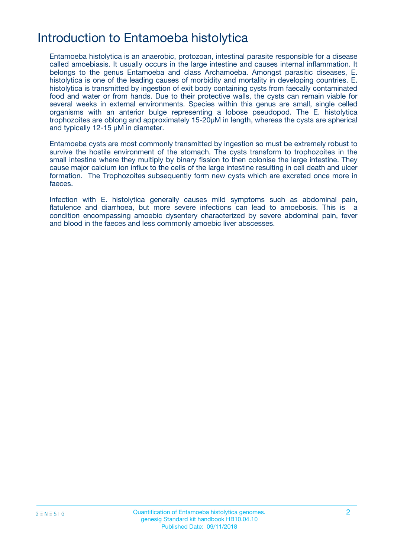# Introduction to Entamoeba histolytica

Entamoeba histolytica is an anaerobic, protozoan, intestinal parasite responsible for a disease called amoebiasis. It usually occurs in the large intestine and causes internal inflammation. It belongs to the genus Entamoeba and class Archamoeba. Amongst parasitic diseases, E. histolytica is one of the leading causes of morbidity and mortality in developing countries. E. histolytica is transmitted by ingestion of exit body containing cysts from faecally contaminated food and water or from hands. Due to their protective walls, the cysts can remain viable for several weeks in external environments. Species within this genus are small, single celled organisms with an anterior bulge representing a lobose pseudopod. The E. histolytica trophozoites are oblong and approximately 15-20µM in length, whereas the cysts are spherical and typically 12-15 µM in diameter.

Entamoeba cysts are most commonly transmitted by ingestion so must be extremely robust to survive the hostile environment of the stomach. The cysts transform to trophozoites in the small intestine where they multiply by binary fission to then colonise the large intestine. They cause major calcium ion influx to the cells of the large intestine resulting in cell death and ulcer formation. The Trophozoites subsequently form new cysts which are excreted once more in faeces.

Infection with E. histolytica generally causes mild symptoms such as abdominal pain, flatulence and diarrhoea, but more severe infections can lead to amoebosis. This is a condition encompassing amoebic dysentery characterized by severe abdominal pain, fever and blood in the faeces and less commonly amoebic liver abscesses.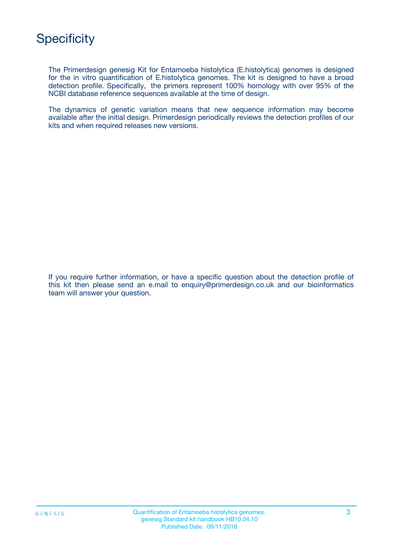

The Primerdesign genesig Kit for Entamoeba histolytica (E.histolytica) genomes is designed for the in vitro quantification of E.histolytica genomes. The kit is designed to have a broad detection profile. Specifically, the primers represent 100% homology with over 95% of the NCBI database reference sequences available at the time of design.

The dynamics of genetic variation means that new sequence information may become available after the initial design. Primerdesign periodically reviews the detection profiles of our kits and when required releases new versions.

If you require further information, or have a specific question about the detection profile of this kit then please send an e.mail to enquiry@primerdesign.co.uk and our bioinformatics team will answer your question.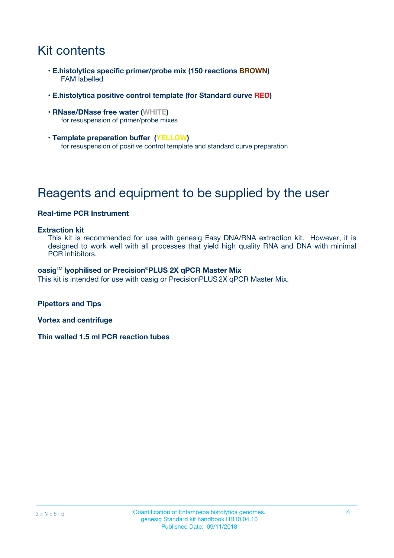# Kit contents

- **E.histolytica specific primer/probe mix (150 reactions BROWN)** FAM labelled
- **E.histolytica positive control template (for Standard curve RED)**
- **RNase/DNase free water (WHITE)** for resuspension of primer/probe mixes
- **Template preparation buffer (YELLOW)** for resuspension of positive control template and standard curve preparation

# Reagents and equipment to be supplied by the user

### **Real-time PCR Instrument**

#### **Extraction kit**

This kit is recommended for use with genesig Easy DNA/RNA extraction kit. However, it is designed to work well with all processes that yield high quality RNA and DNA with minimal PCR inhibitors.

#### **oasig**TM **lyophilised or Precision**®**PLUS 2X qPCR Master Mix**

This kit is intended for use with oasig or PrecisionPLUS2X qPCR Master Mix.

**Pipettors and Tips**

**Vortex and centrifuge**

**Thin walled 1.5 ml PCR reaction tubes**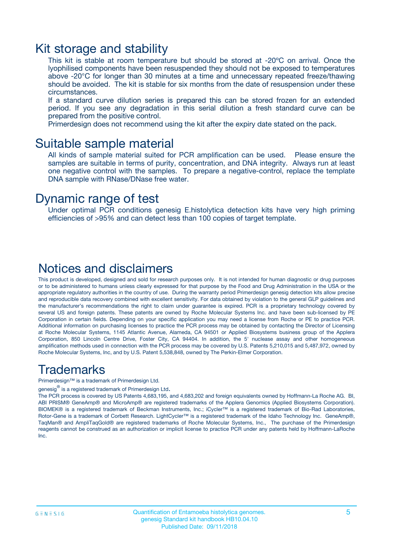### Kit storage and stability

This kit is stable at room temperature but should be stored at -20ºC on arrival. Once the lyophilised components have been resuspended they should not be exposed to temperatures above -20°C for longer than 30 minutes at a time and unnecessary repeated freeze/thawing should be avoided. The kit is stable for six months from the date of resuspension under these circumstances.

If a standard curve dilution series is prepared this can be stored frozen for an extended period. If you see any degradation in this serial dilution a fresh standard curve can be prepared from the positive control.

Primerdesign does not recommend using the kit after the expiry date stated on the pack.

### Suitable sample material

All kinds of sample material suited for PCR amplification can be used. Please ensure the samples are suitable in terms of purity, concentration, and DNA integrity. Always run at least one negative control with the samples. To prepare a negative-control, replace the template DNA sample with RNase/DNase free water.

### Dynamic range of test

Under optimal PCR conditions genesig E.histolytica detection kits have very high priming efficiencies of >95% and can detect less than 100 copies of target template.

### Notices and disclaimers

This product is developed, designed and sold for research purposes only. It is not intended for human diagnostic or drug purposes or to be administered to humans unless clearly expressed for that purpose by the Food and Drug Administration in the USA or the appropriate regulatory authorities in the country of use. During the warranty period Primerdesign genesig detection kits allow precise and reproducible data recovery combined with excellent sensitivity. For data obtained by violation to the general GLP guidelines and the manufacturer's recommendations the right to claim under guarantee is expired. PCR is a proprietary technology covered by several US and foreign patents. These patents are owned by Roche Molecular Systems Inc. and have been sub-licensed by PE Corporation in certain fields. Depending on your specific application you may need a license from Roche or PE to practice PCR. Additional information on purchasing licenses to practice the PCR process may be obtained by contacting the Director of Licensing at Roche Molecular Systems, 1145 Atlantic Avenue, Alameda, CA 94501 or Applied Biosystems business group of the Applera Corporation, 850 Lincoln Centre Drive, Foster City, CA 94404. In addition, the 5' nuclease assay and other homogeneous amplification methods used in connection with the PCR process may be covered by U.S. Patents 5,210,015 and 5,487,972, owned by Roche Molecular Systems, Inc, and by U.S. Patent 5,538,848, owned by The Perkin-Elmer Corporation.

### Trademarks

Primerdesign™ is a trademark of Primerdesign Ltd.

genesig $^\circledR$  is a registered trademark of Primerdesign Ltd.

The PCR process is covered by US Patents 4,683,195, and 4,683,202 and foreign equivalents owned by Hoffmann-La Roche AG. BI, ABI PRISM® GeneAmp® and MicroAmp® are registered trademarks of the Applera Genomics (Applied Biosystems Corporation). BIOMEK® is a registered trademark of Beckman Instruments, Inc.; iCycler™ is a registered trademark of Bio-Rad Laboratories, Rotor-Gene is a trademark of Corbett Research. LightCycler™ is a registered trademark of the Idaho Technology Inc. GeneAmp®, TaqMan® and AmpliTaqGold® are registered trademarks of Roche Molecular Systems, Inc., The purchase of the Primerdesign reagents cannot be construed as an authorization or implicit license to practice PCR under any patents held by Hoffmann-LaRoche Inc.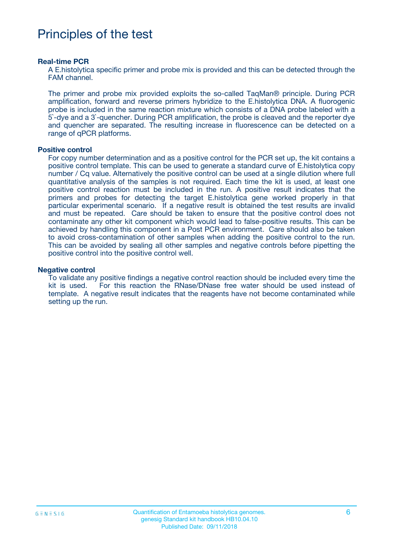# Principles of the test

#### **Real-time PCR**

A E.histolytica specific primer and probe mix is provided and this can be detected through the FAM channel.

The primer and probe mix provided exploits the so-called TaqMan® principle. During PCR amplification, forward and reverse primers hybridize to the E.histolytica DNA. A fluorogenic probe is included in the same reaction mixture which consists of a DNA probe labeled with a 5`-dye and a 3`-quencher. During PCR amplification, the probe is cleaved and the reporter dye and quencher are separated. The resulting increase in fluorescence can be detected on a range of qPCR platforms.

#### **Positive control**

For copy number determination and as a positive control for the PCR set up, the kit contains a positive control template. This can be used to generate a standard curve of E.histolytica copy number / Cq value. Alternatively the positive control can be used at a single dilution where full quantitative analysis of the samples is not required. Each time the kit is used, at least one positive control reaction must be included in the run. A positive result indicates that the primers and probes for detecting the target E.histolytica gene worked properly in that particular experimental scenario. If a negative result is obtained the test results are invalid and must be repeated. Care should be taken to ensure that the positive control does not contaminate any other kit component which would lead to false-positive results. This can be achieved by handling this component in a Post PCR environment. Care should also be taken to avoid cross-contamination of other samples when adding the positive control to the run. This can be avoided by sealing all other samples and negative controls before pipetting the positive control into the positive control well.

#### **Negative control**

To validate any positive findings a negative control reaction should be included every time the kit is used. For this reaction the RNase/DNase free water should be used instead of template. A negative result indicates that the reagents have not become contaminated while setting up the run.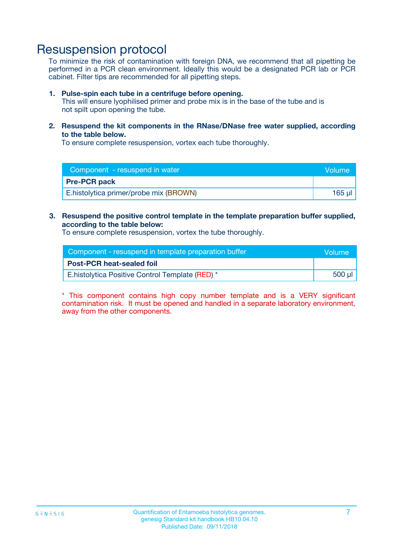## Resuspension protocol

To minimize the risk of contamination with foreign DNA, we recommend that all pipetting be performed in a PCR clean environment. Ideally this would be a designated PCR lab or PCR cabinet. Filter tips are recommended for all pipetting steps.

#### **1. Pulse-spin each tube in a centrifuge before opening.**

This will ensure lyophilised primer and probe mix is in the base of the tube and is not spilt upon opening the tube.

**2. Resuspend the kit components in the RNase/DNase free water supplied, according to the table below.**

To ensure complete resuspension, vortex each tube thoroughly.

| Component - resuspend in water         | lVolume' |
|----------------------------------------|----------|
| <b>Pre-PCR pack</b>                    |          |
| E.histolytica primer/probe mix (BROWN) | 165 µl   |

#### **3. Resuspend the positive control template in the template preparation buffer supplied, according to the table below:**

To ensure complete resuspension, vortex the tube thoroughly.

| Component - resuspend in template preparation buffer |        |  |
|------------------------------------------------------|--------|--|
| <b>Post-PCR heat-sealed foil</b>                     |        |  |
| E.histolytica Positive Control Template (RED) *      | 500 µl |  |

\* This component contains high copy number template and is a VERY significant contamination risk. It must be opened and handled in a separate laboratory environment, away from the other components.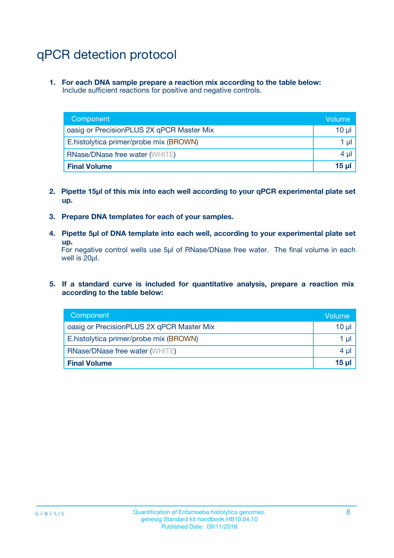# qPCR detection protocol

**1. For each DNA sample prepare a reaction mix according to the table below:** Include sufficient reactions for positive and negative controls.

| Component                                 | Volume   |
|-------------------------------------------|----------|
| oasig or PrecisionPLUS 2X qPCR Master Mix | 10 $\mu$ |
| E.histolytica primer/probe mix (BROWN)    | 1 $\mu$  |
| <b>RNase/DNase free water (WHITE)</b>     | $4 \mu$  |
| <b>Final Volume</b>                       | $15 \mu$ |

- **2. Pipette 15µl of this mix into each well according to your qPCR experimental plate set up.**
- **3. Prepare DNA templates for each of your samples.**
- **4. Pipette 5µl of DNA template into each well, according to your experimental plate set up.**

For negative control wells use 5µl of RNase/DNase free water. The final volume in each well is 20µl.

**5. If a standard curve is included for quantitative analysis, prepare a reaction mix according to the table below:**

| Component                                 | Volume   |
|-------------------------------------------|----------|
| oasig or PrecisionPLUS 2X qPCR Master Mix | 10 µl    |
| E.histolytica primer/probe mix (BROWN)    | 1 µI     |
| <b>RNase/DNase free water (WHITE)</b>     | $4 \mu$  |
| <b>Final Volume</b>                       | $15 \mu$ |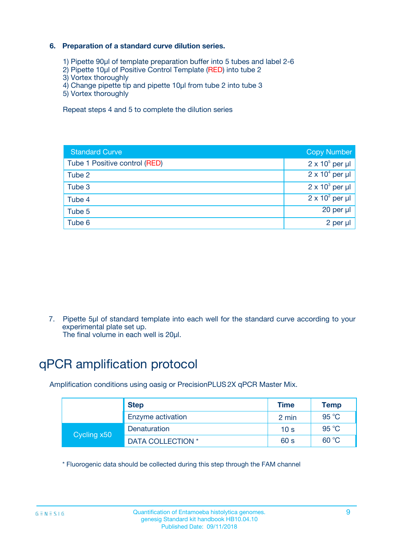### **6. Preparation of a standard curve dilution series.**

- 1) Pipette 90µl of template preparation buffer into 5 tubes and label 2-6
- 2) Pipette 10µl of Positive Control Template (RED) into tube 2
- 3) Vortex thoroughly
- 4) Change pipette tip and pipette 10µl from tube 2 into tube 3
- 5) Vortex thoroughly

Repeat steps 4 and 5 to complete the dilution series

| <b>Standard Curve</b>         | <b>Copy Number</b>     |
|-------------------------------|------------------------|
| Tube 1 Positive control (RED) | $2 \times 10^5$ per µl |
| Tube 2                        | $2 \times 10^4$ per µl |
| Tube 3                        | $2 \times 10^3$ per µl |
| Tube 4                        | $2 \times 10^2$ per µl |
| Tube 5                        | 20 per µl              |
| Tube 6                        | 2 per ul               |

7. Pipette 5µl of standard template into each well for the standard curve according to your experimental plate set up.

The final volume in each well is 20µl.

# qPCR amplification protocol

Amplification conditions using oasig or PrecisionPLUS2X qPCR Master Mix.

|             | <b>Step</b>       | <b>Time</b>     | Temp           |
|-------------|-------------------|-----------------|----------------|
|             | Enzyme activation | 2 min           | $95^{\circ}$ C |
| Cycling x50 | Denaturation      | 10 <sub>s</sub> | 95 $°C$        |
|             | DATA COLLECTION * | 60 s            | 60 °C          |

\* Fluorogenic data should be collected during this step through the FAM channel